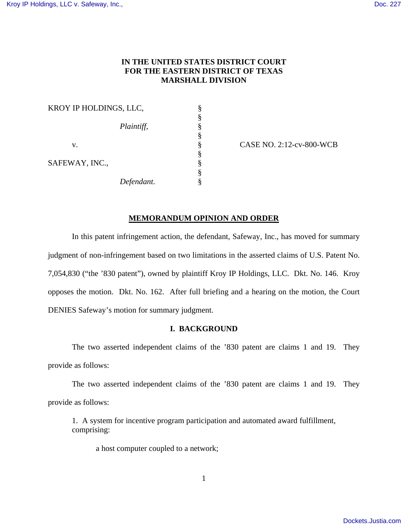# **IN THE UNITED STATES DISTRICT COURT FOR THE EASTERN DISTRICT OF TEXAS MARSHALL DIVISION**

|                | KROY IP HOLDINGS, LLC, |  |
|----------------|------------------------|--|
|                |                        |  |
|                | Plaintiff,             |  |
|                |                        |  |
| V.             |                        |  |
|                |                        |  |
| SAFEWAY, INC., |                        |  |
|                |                        |  |
|                | Defendant.             |  |

CASE NO. 2:12-cv-800-WCB

## **MEMORANDUM OPINION AND ORDER**

 In this patent infringement action, the defendant, Safeway, Inc., has moved for summary judgment of non-infringement based on two limitations in the asserted claims of U.S. Patent No. 7,054,830 ("the '830 patent"), owned by plaintiff Kroy IP Holdings, LLC. Dkt. No. 146. Kroy opposes the motion. Dkt. No. 162. After full briefing and a hearing on the motion, the Court DENIES Safeway's motion for summary judgment.

### **I. BACKGROUND**

 The two asserted independent claims of the '830 patent are claims 1 and 19. They provide as follows:

 The two asserted independent claims of the '830 patent are claims 1 and 19. They provide as follows:

1. A system for incentive program participation and automated award fulfillment, comprising:

a host computer coupled to a network;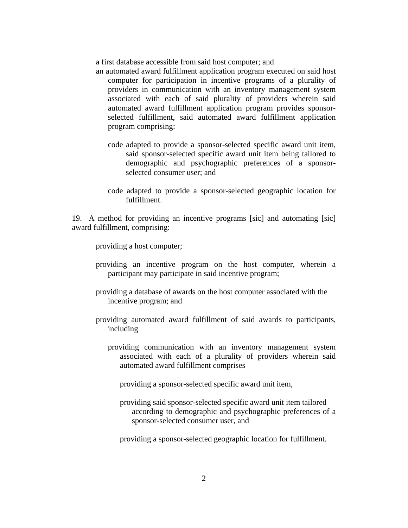a first database accessible from said host computer; and

- an automated award fulfillment application program executed on said host computer for participation in incentive programs of a plurality of providers in communication with an inventory management system associated with each of said plurality of providers wherein said automated award fulfillment application program provides sponsorselected fulfillment, said automated award fulfillment application program comprising:
	- code adapted to provide a sponsor-selected specific award unit item, said sponsor-selected specific award unit item being tailored to demographic and psychographic preferences of a sponsorselected consumer user; and
	- code adapted to provide a sponsor-selected geographic location for fulfillment.

19. A method for providing an incentive programs [sic] and automating [sic] award fulfillment, comprising:

providing a host computer;

- providing an incentive program on the host computer, wherein a participant may participate in said incentive program;
- providing a database of awards on the host computer associated with the incentive program; and
- providing automated award fulfillment of said awards to participants, including
	- providing communication with an inventory management system associated with each of a plurality of providers wherein said automated award fulfillment comprises
		- providing a sponsor-selected specific award unit item,
		- providing said sponsor-selected specific award unit item tailored according to demographic and psychographic preferences of a sponsor-selected consumer user, and
		- providing a sponsor-selected geographic location for fulfillment.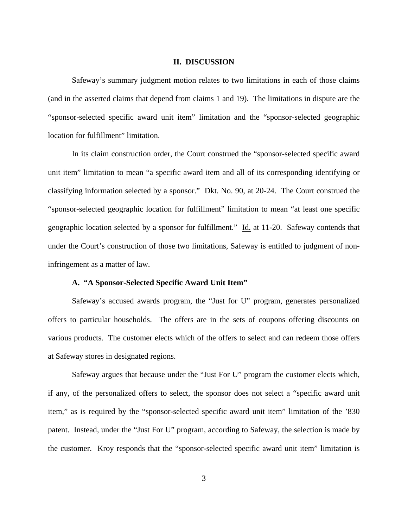#### **II. DISCUSSION**

Safeway's summary judgment motion relates to two limitations in each of those claims (and in the asserted claims that depend from claims 1 and 19). The limitations in dispute are the "sponsor-selected specific award unit item" limitation and the "sponsor-selected geographic location for fulfillment" limitation.

 In its claim construction order, the Court construed the "sponsor-selected specific award unit item" limitation to mean "a specific award item and all of its corresponding identifying or classifying information selected by a sponsor." Dkt. No. 90, at 20-24. The Court construed the "sponsor-selected geographic location for fulfillment" limitation to mean "at least one specific geographic location selected by a sponsor for fulfillment." Id. at 11-20. Safeway contends that under the Court's construction of those two limitations, Safeway is entitled to judgment of noninfringement as a matter of law.

## **A. "A Sponsor-Selected Specific Award Unit Item"**

 Safeway's accused awards program, the "Just for U" program, generates personalized offers to particular households. The offers are in the sets of coupons offering discounts on various products. The customer elects which of the offers to select and can redeem those offers at Safeway stores in designated regions.

 Safeway argues that because under the "Just For U" program the customer elects which, if any, of the personalized offers to select, the sponsor does not select a "specific award unit item," as is required by the "sponsor-selected specific award unit item" limitation of the '830 patent. Instead, under the "Just For U" program, according to Safeway, the selection is made by the customer. Kroy responds that the "sponsor-selected specific award unit item" limitation is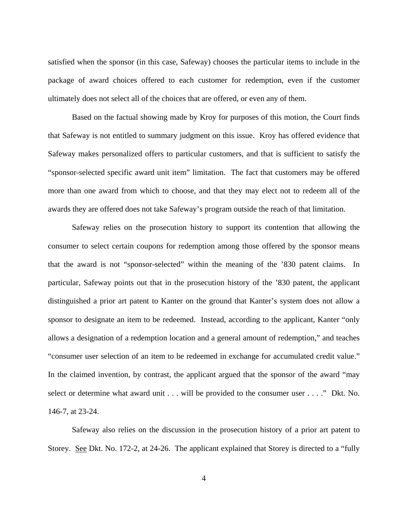satisfied when the sponsor (in this case, Safeway) chooses the particular items to include in the package of award choices offered to each customer for redemption, even if the customer ultimately does not select all of the choices that are offered, or even any of them.

 Based on the factual showing made by Kroy for purposes of this motion, the Court finds that Safeway is not entitled to summary judgment on this issue. Kroy has offered evidence that Safeway makes personalized offers to particular customers, and that is sufficient to satisfy the "sponsor-selected specific award unit item" limitation. The fact that customers may be offered more than one award from which to choose, and that they may elect not to redeem all of the awards they are offered does not take Safeway's program outside the reach of that limitation.

 Safeway relies on the prosecution history to support its contention that allowing the consumer to select certain coupons for redemption among those offered by the sponsor means that the award is not "sponsor-selected" within the meaning of the '830 patent claims. In particular, Safeway points out that in the prosecution history of the '830 patent, the applicant distinguished a prior art patent to Kanter on the ground that Kanter's system does not allow a sponsor to designate an item to be redeemed. Instead, according to the applicant, Kanter "only allows a designation of a redemption location and a general amount of redemption," and teaches "consumer user selection of an item to be redeemed in exchange for accumulated credit value." In the claimed invention, by contrast, the applicant argued that the sponsor of the award "may select or determine what award unit . . . will be provided to the consumer user . . . ." Dkt. No. 146-7, at 23-24.

 Safeway also relies on the discussion in the prosecution history of a prior art patent to Storey. See Dkt. No. 172-2, at 24-26. The applicant explained that Storey is directed to a "fully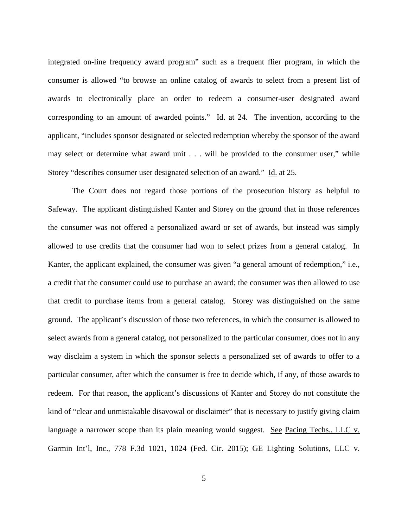integrated on-line frequency award program" such as a frequent flier program, in which the consumer is allowed "to browse an online catalog of awards to select from a present list of awards to electronically place an order to redeem a consumer-user designated award corresponding to an amount of awarded points." Id. at 24. The invention, according to the applicant, "includes sponsor designated or selected redemption whereby the sponsor of the award may select or determine what award unit . . . will be provided to the consumer user," while Storey "describes consumer user designated selection of an award." Id. at 25.

 The Court does not regard those portions of the prosecution history as helpful to Safeway. The applicant distinguished Kanter and Storey on the ground that in those references the consumer was not offered a personalized award or set of awards, but instead was simply allowed to use credits that the consumer had won to select prizes from a general catalog. In Kanter, the applicant explained, the consumer was given "a general amount of redemption," i.e., a credit that the consumer could use to purchase an award; the consumer was then allowed to use that credit to purchase items from a general catalog. Storey was distinguished on the same ground. The applicant's discussion of those two references, in which the consumer is allowed to select awards from a general catalog, not personalized to the particular consumer, does not in any way disclaim a system in which the sponsor selects a personalized set of awards to offer to a particular consumer, after which the consumer is free to decide which, if any, of those awards to redeem. For that reason, the applicant's discussions of Kanter and Storey do not constitute the kind of "clear and unmistakable disavowal or disclaimer" that is necessary to justify giving claim language a narrower scope than its plain meaning would suggest. See Pacing Techs., LLC v. Garmin Int'l, Inc., 778 F.3d 1021, 1024 (Fed. Cir. 2015); GE Lighting Solutions, LLC v.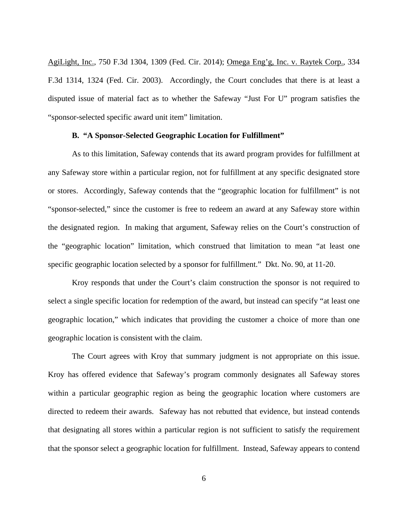AgiLight, Inc., 750 F.3d 1304, 1309 (Fed. Cir. 2014); Omega Eng'g, Inc. v. Raytek Corp., 334 F.3d 1314, 1324 (Fed. Cir. 2003). Accordingly, the Court concludes that there is at least a disputed issue of material fact as to whether the Safeway "Just For U" program satisfies the "sponsor-selected specific award unit item" limitation.

#### **B. "A Sponsor-Selected Geographic Location for Fulfillment"**

 As to this limitation, Safeway contends that its award program provides for fulfillment at any Safeway store within a particular region, not for fulfillment at any specific designated store or stores. Accordingly, Safeway contends that the "geographic location for fulfillment" is not "sponsor-selected," since the customer is free to redeem an award at any Safeway store within the designated region. In making that argument, Safeway relies on the Court's construction of the "geographic location" limitation, which construed that limitation to mean "at least one specific geographic location selected by a sponsor for fulfillment." Dkt. No. 90, at 11-20.

Kroy responds that under the Court's claim construction the sponsor is not required to select a single specific location for redemption of the award, but instead can specify "at least one geographic location," which indicates that providing the customer a choice of more than one geographic location is consistent with the claim.

The Court agrees with Kroy that summary judgment is not appropriate on this issue. Kroy has offered evidence that Safeway's program commonly designates all Safeway stores within a particular geographic region as being the geographic location where customers are directed to redeem their awards. Safeway has not rebutted that evidence, but instead contends that designating all stores within a particular region is not sufficient to satisfy the requirement that the sponsor select a geographic location for fulfillment. Instead, Safeway appears to contend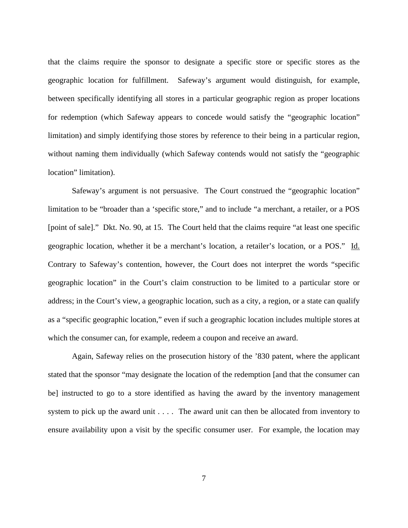that the claims require the sponsor to designate a specific store or specific stores as the geographic location for fulfillment. Safeway's argument would distinguish, for example, between specifically identifying all stores in a particular geographic region as proper locations for redemption (which Safeway appears to concede would satisfy the "geographic location" limitation) and simply identifying those stores by reference to their being in a particular region, without naming them individually (which Safeway contends would not satisfy the "geographic location" limitation).

Safeway's argument is not persuasive. The Court construed the "geographic location" limitation to be "broader than a 'specific store," and to include "a merchant, a retailer, or a POS [point of sale]." Dkt. No. 90, at 15. The Court held that the claims require "at least one specific geographic location, whether it be a merchant's location, a retailer's location, or a POS." Id. Contrary to Safeway's contention, however, the Court does not interpret the words "specific geographic location" in the Court's claim construction to be limited to a particular store or address; in the Court's view, a geographic location, such as a city, a region, or a state can qualify as a "specific geographic location," even if such a geographic location includes multiple stores at which the consumer can, for example, redeem a coupon and receive an award.

Again, Safeway relies on the prosecution history of the '830 patent, where the applicant stated that the sponsor "may designate the location of the redemption [and that the consumer can be] instructed to go to a store identified as having the award by the inventory management system to pick up the award unit . . . . The award unit can then be allocated from inventory to ensure availability upon a visit by the specific consumer user. For example, the location may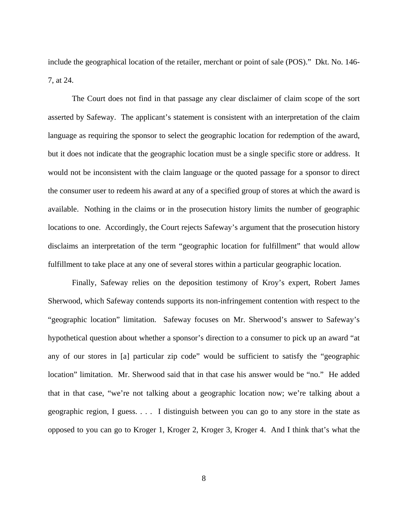include the geographical location of the retailer, merchant or point of sale (POS)." Dkt. No. 146- 7, at 24.

The Court does not find in that passage any clear disclaimer of claim scope of the sort asserted by Safeway. The applicant's statement is consistent with an interpretation of the claim language as requiring the sponsor to select the geographic location for redemption of the award, but it does not indicate that the geographic location must be a single specific store or address. It would not be inconsistent with the claim language or the quoted passage for a sponsor to direct the consumer user to redeem his award at any of a specified group of stores at which the award is available. Nothing in the claims or in the prosecution history limits the number of geographic locations to one. Accordingly, the Court rejects Safeway's argument that the prosecution history disclaims an interpretation of the term "geographic location for fulfillment" that would allow fulfillment to take place at any one of several stores within a particular geographic location.

Finally, Safeway relies on the deposition testimony of Kroy's expert, Robert James Sherwood, which Safeway contends supports its non-infringement contention with respect to the "geographic location" limitation. Safeway focuses on Mr. Sherwood's answer to Safeway's hypothetical question about whether a sponsor's direction to a consumer to pick up an award "at any of our stores in [a] particular zip code" would be sufficient to satisfy the "geographic location" limitation. Mr. Sherwood said that in that case his answer would be "no." He added that in that case, "we're not talking about a geographic location now; we're talking about a geographic region, I guess. . . . I distinguish between you can go to any store in the state as opposed to you can go to Kroger 1, Kroger 2, Kroger 3, Kroger 4. And I think that's what the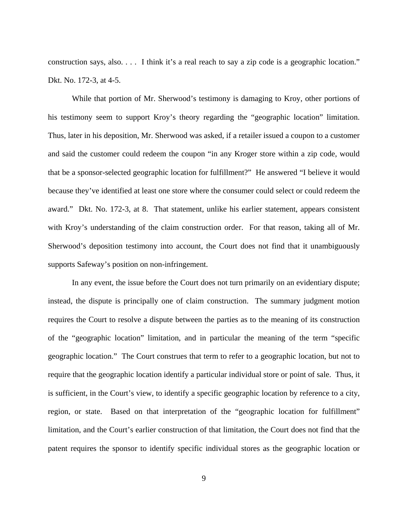construction says, also. . . . I think it's a real reach to say a zip code is a geographic location." Dkt. No. 172-3, at 4-5.

While that portion of Mr. Sherwood's testimony is damaging to Kroy, other portions of his testimony seem to support Kroy's theory regarding the "geographic location" limitation. Thus, later in his deposition, Mr. Sherwood was asked, if a retailer issued a coupon to a customer and said the customer could redeem the coupon "in any Kroger store within a zip code, would that be a sponsor-selected geographic location for fulfillment?" He answered "I believe it would because they've identified at least one store where the consumer could select or could redeem the award." Dkt. No. 172-3, at 8. That statement, unlike his earlier statement, appears consistent with Kroy's understanding of the claim construction order. For that reason, taking all of Mr. Sherwood's deposition testimony into account, the Court does not find that it unambiguously supports Safeway's position on non-infringement.

In any event, the issue before the Court does not turn primarily on an evidentiary dispute; instead, the dispute is principally one of claim construction. The summary judgment motion requires the Court to resolve a dispute between the parties as to the meaning of its construction of the "geographic location" limitation, and in particular the meaning of the term "specific geographic location." The Court construes that term to refer to a geographic location, but not to require that the geographic location identify a particular individual store or point of sale. Thus, it is sufficient, in the Court's view, to identify a specific geographic location by reference to a city, region, or state. Based on that interpretation of the "geographic location for fulfillment" limitation, and the Court's earlier construction of that limitation, the Court does not find that the patent requires the sponsor to identify specific individual stores as the geographic location or